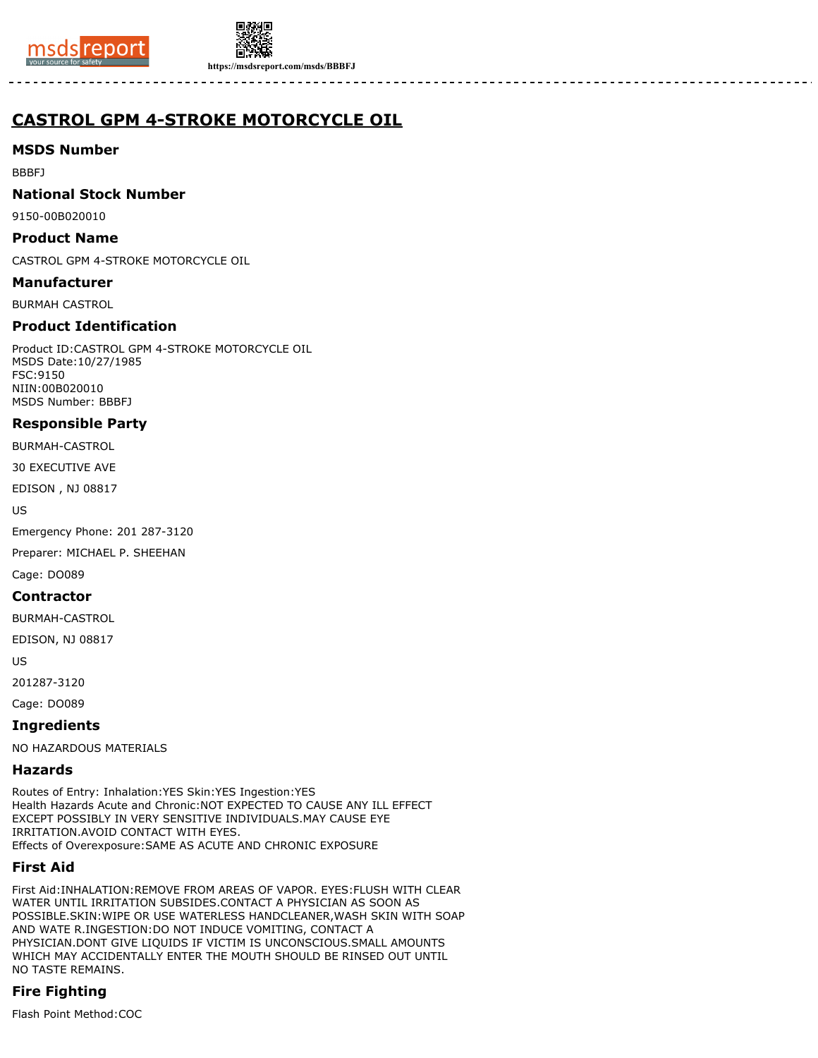



**https://msdsreport.com/msds/BBBFJ**

# **CASTROL GPM 4-STROKE MOTORCYCLE OIL**

## **MSDS Number**

BBBFJ

## **National Stock Number**

9150-00B020010

#### **Product Name**

CASTROL GPM 4-STROKE MOTORCYCLE OIL

#### **Manufacturer**

BURMAH CASTROL

## **Product Identification**

Product ID:CASTROL GPM 4-STROKE MOTORCYCLE OIL MSDS Date:10/27/1985 FSC:9150 NIIN:00B020010 MSDS Number: BBBFJ

## **Responsible Party**

BURMAH-CASTROL

30 EXECUTIVE AVE

EDISON , NJ 08817

US

Emergency Phone: 201 287-3120

Preparer: MICHAEL P. SHEEHAN

Cage: DO089

#### **Contractor**

BURMAH-CASTROL

EDISON, NJ 08817

US

201287-3120

Cage: DO089

## **Ingredients**

NO HAZARDOUS MATERIALS

#### **Hazards**

Routes of Entry: Inhalation:YES Skin:YES Ingestion:YES Health Hazards Acute and Chronic:NOT EXPECTED TO CAUSE ANY ILL EFFECT EXCEPT POSSIBLY IN VERY SENSITIVE INDIVIDUALS.MAY CAUSE EYE IRRITATION.AVOID CONTACT WITH EYES. Effects of Overexposure:SAME AS ACUTE AND CHRONIC EXPOSURE

## **First Aid**

First Aid:INHALATION:REMOVE FROM AREAS OF VAPOR. EYES:FLUSH WITH CLEAR WATER UNTIL IRRITATION SUBSIDES.CONTACT A PHYSICIAN AS SOON AS POSSIBLE.SKIN:WIPE OR USE WATERLESS HANDCLEANER,WASH SKIN WITH SOAP AND WATE R.INGESTION:DO NOT INDUCE VOMITING, CONTACT A PHYSICIAN.DONT GIVE LIQUIDS IF VICTIM IS UNCONSCIOUS.SMALL AMOUNTS WHICH MAY ACCIDENTALLY ENTER THE MOUTH SHOULD BE RINSED OUT UNTIL NO TASTE REMAINS.

# **Fire Fighting**

Flash Point Method:COC